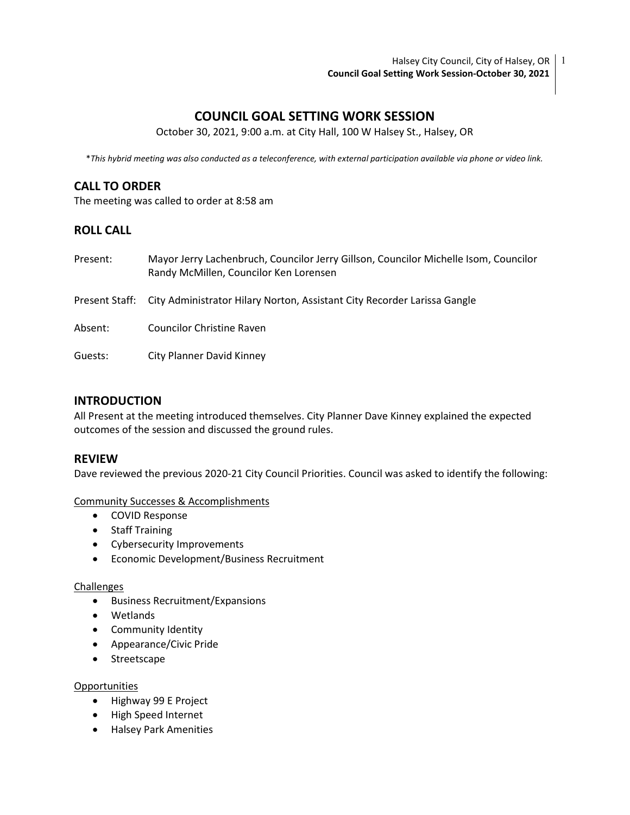# COUNCIL GOAL SETTING WORK SESSION

October 30, 2021, 9:00 a.m. at City Hall, 100 W Halsey St., Halsey, OR

\*This hybrid meeting was also conducted as a teleconference, with external participation available via phone or video link.

# CALL TO ORDER

The meeting was called to order at 8:58 am

### ROLL CALL

| Present: | Mayor Jerry Lachenbruch, Councilor Jerry Gillson, Councilor Michelle Isom, Councilor<br>Randy McMillen, Councilor Ken Lorensen |
|----------|--------------------------------------------------------------------------------------------------------------------------------|
|          | Present Staff: City Administrator Hilary Norton, Assistant City Recorder Larissa Gangle                                        |
| Absent:  | <b>Councilor Christine Raven</b>                                                                                               |
| Guests:  | <b>City Planner David Kinney</b>                                                                                               |

### INTRODUCTION

All Present at the meeting introduced themselves. City Planner Dave Kinney explained the expected outcomes of the session and discussed the ground rules.

### REVIEW

Dave reviewed the previous 2020-21 City Council Priorities. Council was asked to identify the following:

#### Community Successes & Accomplishments

- COVID Response
- Staff Training
- Cybersecurity Improvements
- Economic Development/Business Recruitment

#### **Challenges**

- Business Recruitment/Expansions
- Wetlands
- Community Identity
- Appearance/Civic Pride
- Streetscape

#### Opportunities

- Highway 99 E Project
- High Speed Internet
- Halsey Park Amenities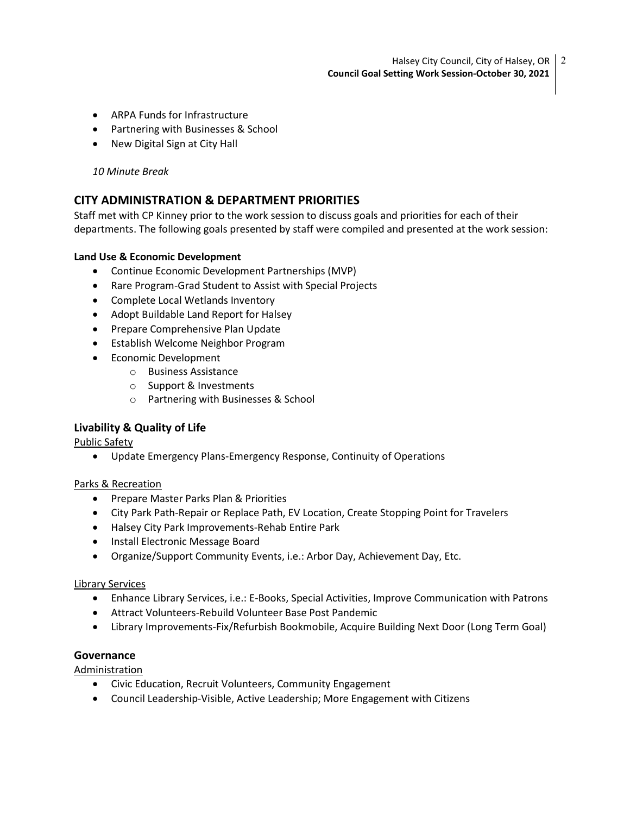- ARPA Funds for Infrastructure
- Partnering with Businesses & School
- New Digital Sign at City Hall

#### 10 Minute Break

# CITY ADMINISTRATION & DEPARTMENT PRIORITIES

Staff met with CP Kinney prior to the work session to discuss goals and priorities for each of their departments. The following goals presented by staff were compiled and presented at the work session:

#### Land Use & Economic Development

- Continue Economic Development Partnerships (MVP)
- Rare Program-Grad Student to Assist with Special Projects
- Complete Local Wetlands Inventory
- Adopt Buildable Land Report for Halsey
- Prepare Comprehensive Plan Update
- Establish Welcome Neighbor Program
- **•** Economic Development
	- o Business Assistance
	- o Support & Investments
	- o Partnering with Businesses & School

# Livability & Quality of Life

Public Safety

Update Emergency Plans-Emergency Response, Continuity of Operations

### Parks & Recreation

- **•** Prepare Master Parks Plan & Priorities
- City Park Path-Repair or Replace Path, EV Location, Create Stopping Point for Travelers
- Halsey City Park Improvements-Rehab Entire Park
- Install Electronic Message Board
- Organize/Support Community Events, i.e.: Arbor Day, Achievement Day, Etc.

#### Library Services

- Enhance Library Services, i.e.: E-Books, Special Activities, Improve Communication with Patrons
- Attract Volunteers-Rebuild Volunteer Base Post Pandemic
- Library Improvements-Fix/Refurbish Bookmobile, Acquire Building Next Door (Long Term Goal)

### Governance

Administration

- Civic Education, Recruit Volunteers, Community Engagement
- Council Leadership-Visible, Active Leadership; More Engagement with Citizens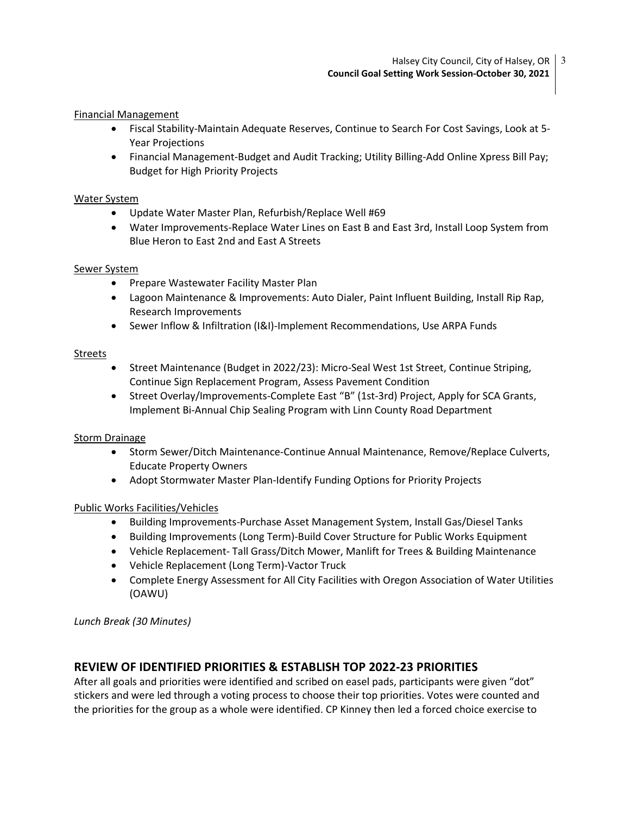Financial Management

- Fiscal Stability-Maintain Adequate Reserves, Continue to Search For Cost Savings, Look at 5- Year Projections
- Financial Management-Budget and Audit Tracking; Utility Billing-Add Online Xpress Bill Pay; Budget for High Priority Projects

#### Water System

- Update Water Master Plan, Refurbish/Replace Well #69
- Water Improvements-Replace Water Lines on East B and East 3rd, Install Loop System from Blue Heron to East 2nd and East A Streets

#### Sewer System

- Prepare Wastewater Facility Master Plan
- Lagoon Maintenance & Improvements: Auto Dialer, Paint Influent Building, Install Rip Rap, Research Improvements
- Sewer Inflow & Infiltration (I&I)-Implement Recommendations, Use ARPA Funds

#### Streets

- Street Maintenance (Budget in 2022/23): Micro-Seal West 1st Street, Continue Striping, Continue Sign Replacement Program, Assess Pavement Condition
- Street Overlay/Improvements-Complete East "B" (1st-3rd) Project, Apply for SCA Grants, Implement Bi-Annual Chip Sealing Program with Linn County Road Department

#### Storm Drainage

- Storm Sewer/Ditch Maintenance-Continue Annual Maintenance, Remove/Replace Culverts, Educate Property Owners
- Adopt Stormwater Master Plan-Identify Funding Options for Priority Projects

### Public Works Facilities/Vehicles

- Building Improvements-Purchase Asset Management System, Install Gas/Diesel Tanks
- Building Improvements (Long Term)-Build Cover Structure for Public Works Equipment
- Vehicle Replacement- Tall Grass/Ditch Mower, Manlift for Trees & Building Maintenance
- Vehicle Replacement (Long Term)-Vactor Truck
- Complete Energy Assessment for All City Facilities with Oregon Association of Water Utilities (OAWU)

Lunch Break (30 Minutes)

# REVIEW OF IDENTIFIED PRIORITIES & ESTABLISH TOP 2022-23 PRIORITIES

After all goals and priorities were identified and scribed on easel pads, participants were given "dot" stickers and were led through a voting process to choose their top priorities. Votes were counted and the priorities for the group as a whole were identified. CP Kinney then led a forced choice exercise to